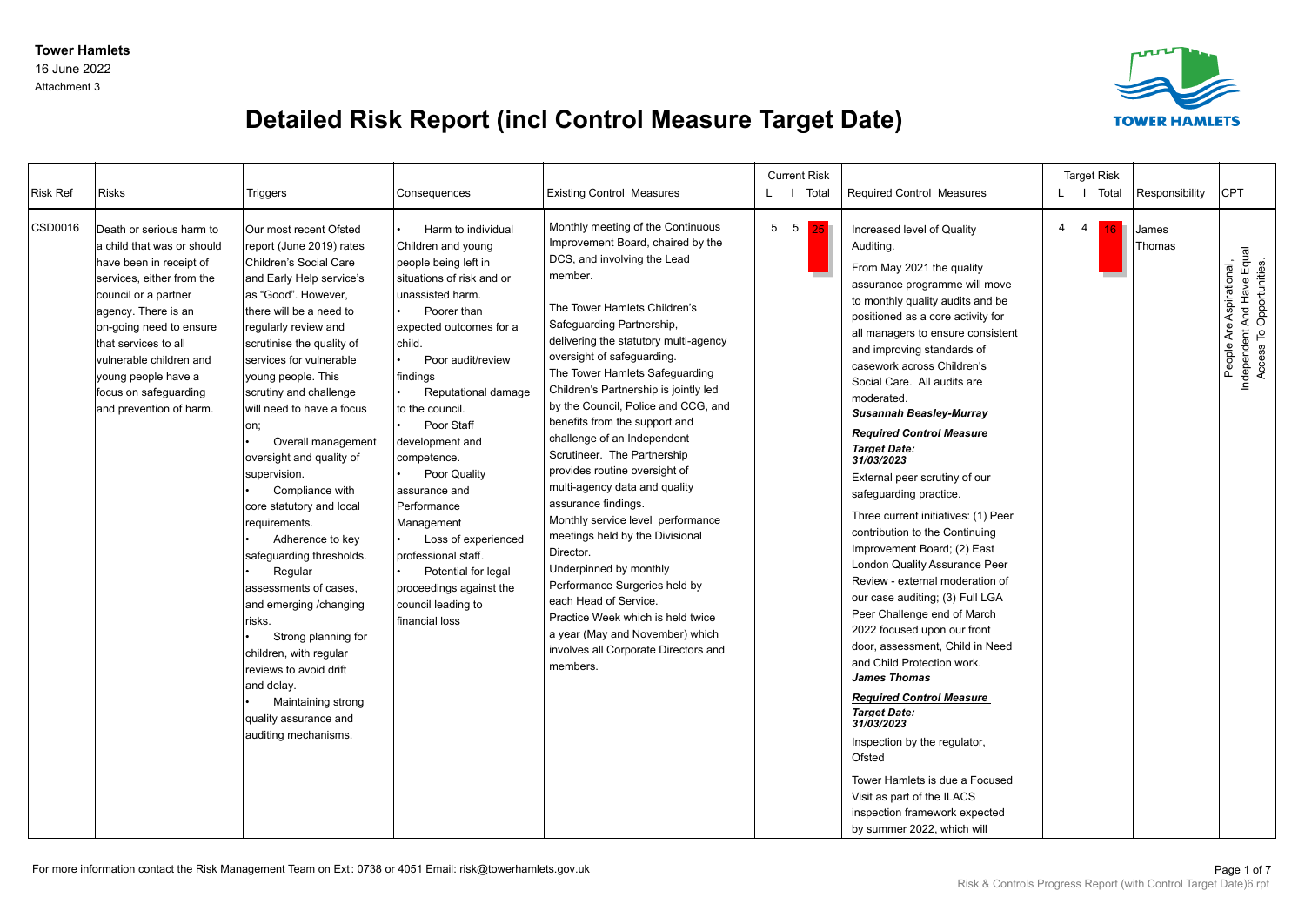Attachment 3



## **Detailed Risk Report (incl Control Measure Target Date)**

| <b>Risk Ref</b> | <b>Risks</b>                                                                                                                                                                                                                                                                                                           | Triggers                                                                                                                                                                                                                                                                                                                                                                                                                                                                                                                                                                                                                                                                                                                                                  | Consequences                                                                                                                                                                                                                                                                                                                                                                                                                                                                                           | <b>Existing Control Measures</b>                                                                                                                                                                                                                                                                                                                                                                                                                                                                                                                                                                                                                                                                                                                                                                                                                                    | <b>Current Risk</b><br>L I Total |    | Required Control Measures                                                                                                                                                                                                                                                                                                                                                                                                                                                                                                                                                                                                                                                                                                                                                                                                                                                                                                                                                                                                                                                                                                      |             | <b>Target Risk</b><br>L   Total | Responsibility  | CPT                                                                                |
|-----------------|------------------------------------------------------------------------------------------------------------------------------------------------------------------------------------------------------------------------------------------------------------------------------------------------------------------------|-----------------------------------------------------------------------------------------------------------------------------------------------------------------------------------------------------------------------------------------------------------------------------------------------------------------------------------------------------------------------------------------------------------------------------------------------------------------------------------------------------------------------------------------------------------------------------------------------------------------------------------------------------------------------------------------------------------------------------------------------------------|--------------------------------------------------------------------------------------------------------------------------------------------------------------------------------------------------------------------------------------------------------------------------------------------------------------------------------------------------------------------------------------------------------------------------------------------------------------------------------------------------------|---------------------------------------------------------------------------------------------------------------------------------------------------------------------------------------------------------------------------------------------------------------------------------------------------------------------------------------------------------------------------------------------------------------------------------------------------------------------------------------------------------------------------------------------------------------------------------------------------------------------------------------------------------------------------------------------------------------------------------------------------------------------------------------------------------------------------------------------------------------------|----------------------------------|----|--------------------------------------------------------------------------------------------------------------------------------------------------------------------------------------------------------------------------------------------------------------------------------------------------------------------------------------------------------------------------------------------------------------------------------------------------------------------------------------------------------------------------------------------------------------------------------------------------------------------------------------------------------------------------------------------------------------------------------------------------------------------------------------------------------------------------------------------------------------------------------------------------------------------------------------------------------------------------------------------------------------------------------------------------------------------------------------------------------------------------------|-------------|---------------------------------|-----------------|------------------------------------------------------------------------------------|
| CSD0016         | Death or serious harm to<br>a child that was or should<br>have been in receipt of<br>services, either from the<br>council or a partner<br>agency. There is an<br>on-going need to ensure<br>that services to all<br>vulnerable children and<br>young people have a<br>focus on safeguarding<br>and prevention of harm. | Our most recent Ofsted<br>report (June 2019) rates<br>Children's Social Care<br>and Early Help service's<br>as "Good". However.<br>there will be a need to<br>regularly review and<br>scrutinise the quality of<br>services for vulnerable<br>young people. This<br>scrutiny and challenge<br>will need to have a focus<br>on;<br>Overall management<br>oversight and quality of<br>supervision.<br>Compliance with<br>core statutory and local<br>requirements.<br>Adherence to key<br>safeguarding thresholds.<br>Regular<br>assessments of cases,<br>and emerging / changing<br>risks.<br>Strong planning for<br>children, with regular<br>reviews to avoid drift<br>and delay.<br>Maintaining strong<br>quality assurance and<br>auditing mechanisms. | Harm to individual<br>Children and young<br>people being left in<br>situations of risk and or<br>unassisted harm.<br>Poorer than<br>expected outcomes for a<br>child.<br>Poor audit/review<br>findings<br>Reputational damage<br>to the council.<br>Poor Staff<br>development and<br>competence.<br>Poor Quality<br>assurance and<br>Performance<br>Management<br>Loss of experienced<br>professional staff.<br>Potential for legal<br>proceedings against the<br>council leading to<br>financial loss | Monthly meeting of the Continuous<br>Improvement Board, chaired by the<br>DCS, and involving the Lead<br>member.<br>The Tower Hamlets Children's<br>Safeguarding Partnership,<br>delivering the statutory multi-agency<br>oversight of safeguarding.<br>The Tower Hamlets Safeguarding<br>Children's Partnership is jointly led<br>by the Council, Police and CCG, and<br>benefits from the support and<br>challenge of an Independent<br>Scrutineer. The Partnership<br>provides routine oversight of<br>multi-agency data and quality<br>assurance findings.<br>Monthly service level performance<br>meetings held by the Divisional<br>Director.<br>Underpinned by monthly<br>Performance Surgeries held by<br>each Head of Service.<br>Practice Week which is held twice<br>a year (May and November) which<br>involves all Corporate Directors and<br>members. | 5 5                              | 25 | Increased level of Quality<br>Auditing.<br>From May 2021 the quality<br>assurance programme will move<br>to monthly quality audits and be<br>positioned as a core activity for<br>all managers to ensure consistent<br>and improving standards of<br>casework across Children's<br>Social Care. All audits are<br>moderated.<br><b>Susannah Beasley-Murray</b><br><b>Required Control Measure</b><br><b>Target Date:</b><br>31/03/2023<br>External peer scrutiny of our<br>safeguarding practice.<br>Three current initiatives: (1) Peer<br>contribution to the Continuing<br>Improvement Board; (2) East<br><b>London Quality Assurance Peer</b><br>Review - external moderation of<br>our case auditing; (3) Full LGA<br>Peer Challenge end of March<br>2022 focused upon our front<br>door, assessment, Child in Need<br>and Child Protection work.<br><b>James Thomas</b><br><b>Required Control Measure</b><br><b>Target Date:</b><br>31/03/2023<br>Inspection by the regulator,<br>Ofsted<br>Tower Hamlets is due a Focused<br>Visit as part of the ILACS<br>inspection framework expected<br>by summer 2022, which will | $4 \quad 4$ | 16                              | James<br>Thomas | Independent And Have Equal<br>Access To Opportunities.<br>People Are Aspirational, |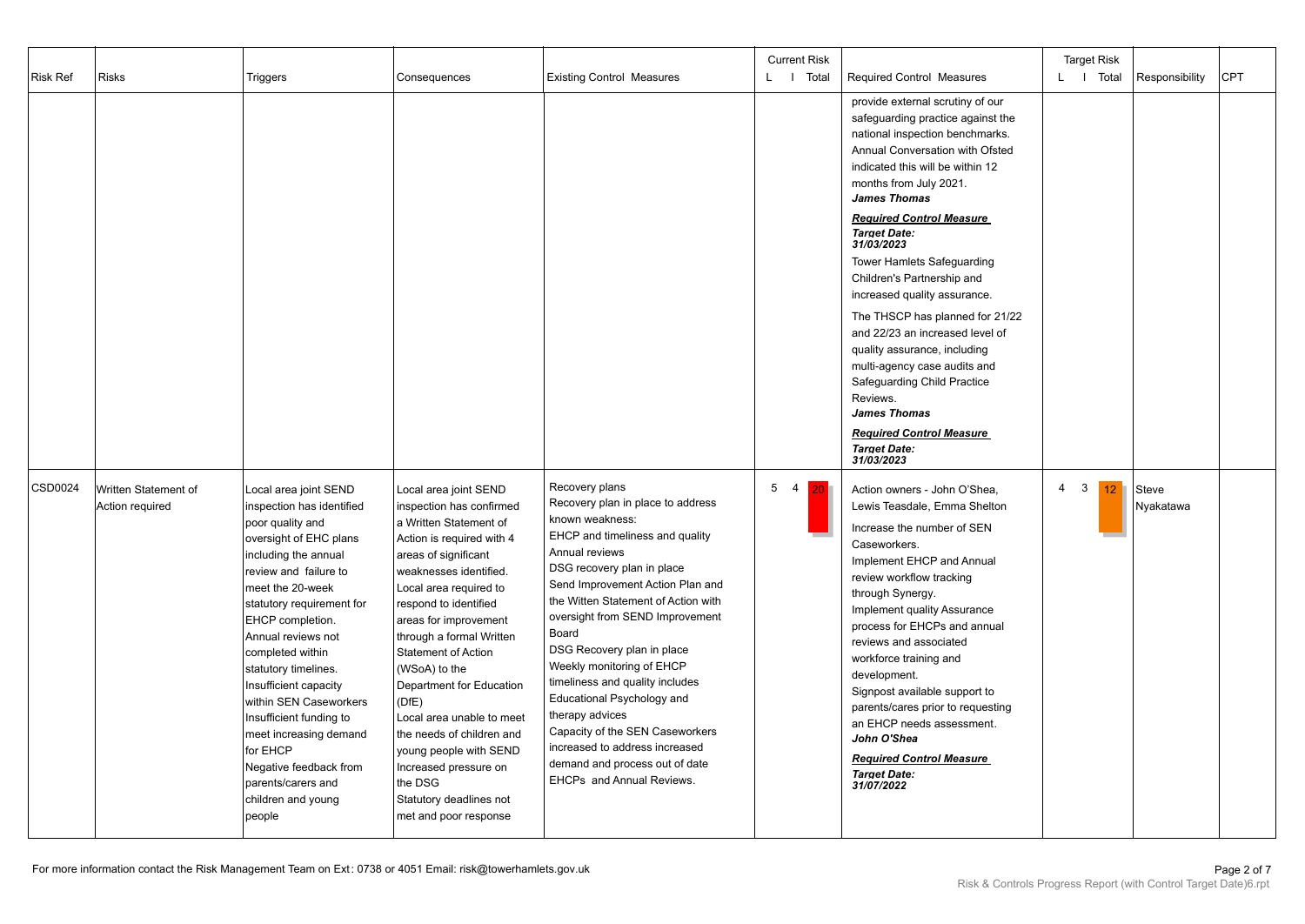| <b>Risk Ref</b> | <b>Risks</b>                            | Triggers                                                                                                                                                                                                                                                                                                                                                                                                                                                                                            | Consequences                                                                                                                                                                                                                                                                                                                                                                                                                                                                                                                       | <b>Existing Control Measures</b>                                                                                                                                                                                                                                                                                                                                                                                                                                                                                                                                    | <b>Current Risk</b><br>L   Total  | <b>Required Control Measures</b>                                                                                                                                                                                                                                                                                                                                                                                                                                                                                                                                                                                                                                                                   | <b>Target Risk</b><br>L I Total                   | Responsibility     | <b>CPT</b> |
|-----------------|-----------------------------------------|-----------------------------------------------------------------------------------------------------------------------------------------------------------------------------------------------------------------------------------------------------------------------------------------------------------------------------------------------------------------------------------------------------------------------------------------------------------------------------------------------------|------------------------------------------------------------------------------------------------------------------------------------------------------------------------------------------------------------------------------------------------------------------------------------------------------------------------------------------------------------------------------------------------------------------------------------------------------------------------------------------------------------------------------------|---------------------------------------------------------------------------------------------------------------------------------------------------------------------------------------------------------------------------------------------------------------------------------------------------------------------------------------------------------------------------------------------------------------------------------------------------------------------------------------------------------------------------------------------------------------------|-----------------------------------|----------------------------------------------------------------------------------------------------------------------------------------------------------------------------------------------------------------------------------------------------------------------------------------------------------------------------------------------------------------------------------------------------------------------------------------------------------------------------------------------------------------------------------------------------------------------------------------------------------------------------------------------------------------------------------------------------|---------------------------------------------------|--------------------|------------|
|                 |                                         |                                                                                                                                                                                                                                                                                                                                                                                                                                                                                                     |                                                                                                                                                                                                                                                                                                                                                                                                                                                                                                                                    |                                                                                                                                                                                                                                                                                                                                                                                                                                                                                                                                                                     |                                   | provide external scrutiny of our<br>safeguarding practice against the<br>national inspection benchmarks.<br>Annual Conversation with Ofsted<br>indicated this will be within 12<br>months from July 2021.<br><b>James Thomas</b><br><b>Required Control Measure</b><br><b>Target Date:</b><br>31/03/2023<br><b>Tower Hamlets Safeguarding</b><br>Children's Partnership and<br>increased quality assurance.<br>The THSCP has planned for 21/22<br>and 22/23 an increased level of<br>quality assurance, including<br>multi-agency case audits and<br><b>Safeguarding Child Practice</b><br>Reviews.<br><b>James Thomas</b><br><b>Required Control Measure</b><br><b>Target Date:</b><br>31/03/2023 |                                                   |                    |            |
| CSD0024         | Written Statement of<br>Action required | Local area joint SEND<br>inspection has identified<br>poor quality and<br>oversight of EHC plans<br>including the annual<br>review and failure to<br>meet the 20-week<br>statutory requirement for<br><b>EHCP</b> completion.<br>Annual reviews not<br>completed within<br>statutory timelines.<br>Insufficient capacity<br>within SEN Caseworkers<br>Insufficient funding to<br>meet increasing demand<br>for EHCP<br>Negative feedback from<br>parents/carers and<br>children and young<br>people | Local area joint SEND<br>inspection has confirmed<br>a Written Statement of<br>Action is required with 4<br>areas of significant<br>weaknesses identified.<br>Local area required to<br>respond to identified<br>areas for improvement<br>through a formal Written<br><b>Statement of Action</b><br>(WSoA) to the<br>Department for Education<br>(DfE)<br>Local area unable to meet<br>the needs of children and<br>young people with SEND<br>Increased pressure on<br>the DSG<br>Statutory deadlines not<br>met and poor response | Recovery plans<br>Recovery plan in place to address<br>known weakness:<br>EHCP and timeliness and quality<br>Annual reviews<br>DSG recovery plan in place<br>Send Improvement Action Plan and<br>the Witten Statement of Action with<br>oversight from SEND Improvement<br>Board<br>DSG Recovery plan in place<br>Weekly monitoring of EHCP<br>timeliness and quality includes<br>Educational Psychology and<br>therapy advices<br>Capacity of the SEN Caseworkers<br>increased to address increased<br>demand and process out of date<br>EHCPs and Annual Reviews. | 5 <sub>4</sub><br>20 <sub>1</sub> | Action owners - John O'Shea,<br>Lewis Teasdale, Emma Shelton<br>Increase the number of SEN<br>Caseworkers.<br>Implement EHCP and Annual<br>review workflow tracking<br>through Synergy.<br>Implement quality Assurance<br>process for EHCPs and annual<br>reviews and associated<br>workforce training and<br>development.<br>Signpost available support to<br>parents/cares prior to requesting<br>an EHCP needs assessment.<br>John O'Shea<br><b>Required Control Measure</b><br><b>Target Date:</b><br>31/07/2022                                                                                                                                                                               | $\mathbf{3}$<br>$\overline{4}$<br>12 <sup>°</sup> | Steve<br>Nyakatawa |            |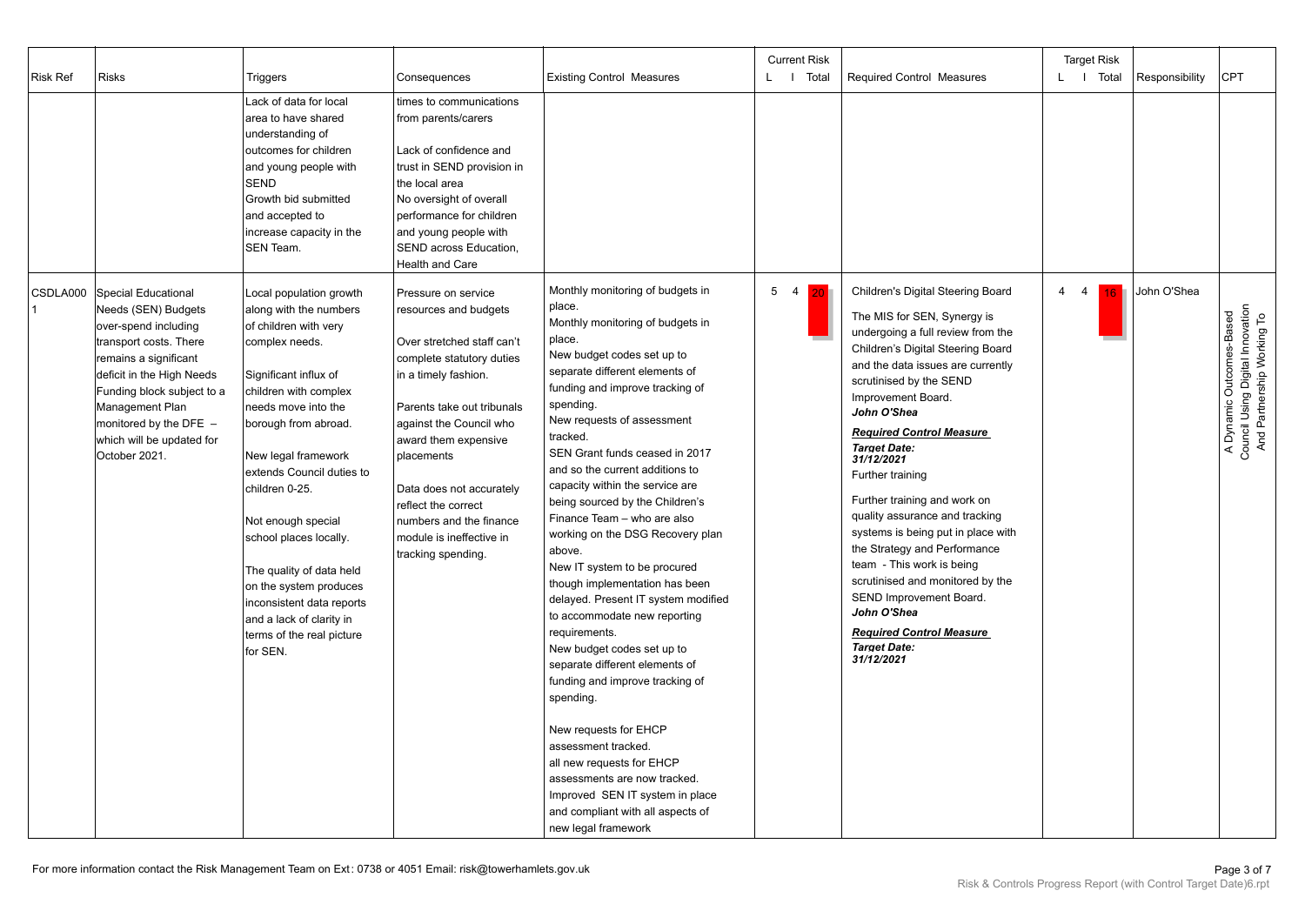| <b>Risk Ref</b> | <b>Risks</b>                                                                                                                                                                                                                                                                  | Triggers                                                                                                                                                                                                                                                                                                                                                                                                                                                                    | Consequences                                                                                                                                                                                                                                                                                                                                                   | <b>Existing Control Measures</b>                                                                                                                                                                                                                                                                                                                                                                                                                                                                                                                                                                                                                                                                                                                                                                                                                                                                                                                                 | <b>Current Risk</b><br>L   Total | <b>Required Control Measures</b>                                                                                                                                                                                                                                                                                                                                                                                                                                                                                                                                                                                                                                       | <b>Target Risk</b><br>L   Total | Responsibility | <b>CPT</b>                                                                                 |
|-----------------|-------------------------------------------------------------------------------------------------------------------------------------------------------------------------------------------------------------------------------------------------------------------------------|-----------------------------------------------------------------------------------------------------------------------------------------------------------------------------------------------------------------------------------------------------------------------------------------------------------------------------------------------------------------------------------------------------------------------------------------------------------------------------|----------------------------------------------------------------------------------------------------------------------------------------------------------------------------------------------------------------------------------------------------------------------------------------------------------------------------------------------------------------|------------------------------------------------------------------------------------------------------------------------------------------------------------------------------------------------------------------------------------------------------------------------------------------------------------------------------------------------------------------------------------------------------------------------------------------------------------------------------------------------------------------------------------------------------------------------------------------------------------------------------------------------------------------------------------------------------------------------------------------------------------------------------------------------------------------------------------------------------------------------------------------------------------------------------------------------------------------|----------------------------------|------------------------------------------------------------------------------------------------------------------------------------------------------------------------------------------------------------------------------------------------------------------------------------------------------------------------------------------------------------------------------------------------------------------------------------------------------------------------------------------------------------------------------------------------------------------------------------------------------------------------------------------------------------------------|---------------------------------|----------------|--------------------------------------------------------------------------------------------|
|                 |                                                                                                                                                                                                                                                                               | Lack of data for local<br>area to have shared<br>understanding of<br>outcomes for children<br>and young people with<br><b>SEND</b><br>Growth bid submitted<br>and accepted to<br>increase capacity in the<br><b>SEN Team.</b>                                                                                                                                                                                                                                               | times to communications<br>from parents/carers<br>Lack of confidence and<br>trust in SEND provision in<br>the local area<br>No oversight of overall<br>performance for children<br>and young people with<br>SEND across Education,<br>Health and Care                                                                                                          |                                                                                                                                                                                                                                                                                                                                                                                                                                                                                                                                                                                                                                                                                                                                                                                                                                                                                                                                                                  |                                  |                                                                                                                                                                                                                                                                                                                                                                                                                                                                                                                                                                                                                                                                        |                                 |                |                                                                                            |
| CSDLA000        | Special Educational<br>Needs (SEN) Budgets<br>over-spend including<br>transport costs. There<br>remains a significant<br>deficit in the High Needs<br>Funding block subject to a<br>Management Plan<br>monitored by the DFE $-$<br>which will be updated for<br>October 2021. | Local population growth<br>along with the numbers<br>of children with very<br>complex needs.<br>Significant influx of<br>children with complex<br>needs move into the<br>borough from abroad.<br>New legal framework<br>extends Council duties to<br>children 0-25.<br>Not enough special<br>school places locally.<br>The quality of data held<br>on the system produces<br>inconsistent data reports<br>and a lack of clarity in<br>terms of the real picture<br>for SEN. | Pressure on service<br>resources and budgets<br>Over stretched staff can't<br>complete statutory duties<br>in a timely fashion.<br>Parents take out tribunals<br>against the Council who<br>award them expensive<br>placements<br>Data does not accurately<br>reflect the correct<br>numbers and the finance<br>module is ineffective in<br>tracking spending. | Monthly monitoring of budgets in<br>place.<br>Monthly monitoring of budgets in<br>place.<br>New budget codes set up to<br>separate different elements of<br>funding and improve tracking of<br>spending.<br>New requests of assessment<br>tracked.<br>SEN Grant funds ceased in 2017<br>and so the current additions to<br>capacity within the service are<br>being sourced by the Children's<br>Finance Team - who are also<br>working on the DSG Recovery plan<br>above.<br>New IT system to be procured<br>though implementation has been<br>delayed. Present IT system modified<br>to accommodate new reporting<br>requirements.<br>New budget codes set up to<br>separate different elements of<br>funding and improve tracking of<br>spending.<br>New requests for EHCP<br>assessment tracked.<br>all new requests for EHCP<br>assessments are now tracked.<br>Improved SEN IT system in place<br>and compliant with all aspects of<br>new legal framework | 5 <sub>4</sub><br>20             | Children's Digital Steering Board<br>The MIS for SEN, Synergy is<br>undergoing a full review from the<br>Children's Digital Steering Board<br>and the data issues are currently<br>scrutinised by the SEND<br>Improvement Board.<br>John O'Shea<br><b>Required Control Measure</b><br><b>Target Date:</b><br>31/12/2021<br>Further training<br>Further training and work on<br>quality assurance and tracking<br>systems is being put in place with<br>the Strategy and Performance<br>team - This work is being<br>scrutinised and monitored by the<br>SEND Improvement Board.<br>John O'Shea<br><b>Required Control Measure</b><br><b>Target Date:</b><br>31/12/2021 | $\overline{4}$<br>4<br>16       | John O'Shea    | A Dynamic Outcomes-Based<br>Council Using Digital Innovation<br>And Partnership Working To |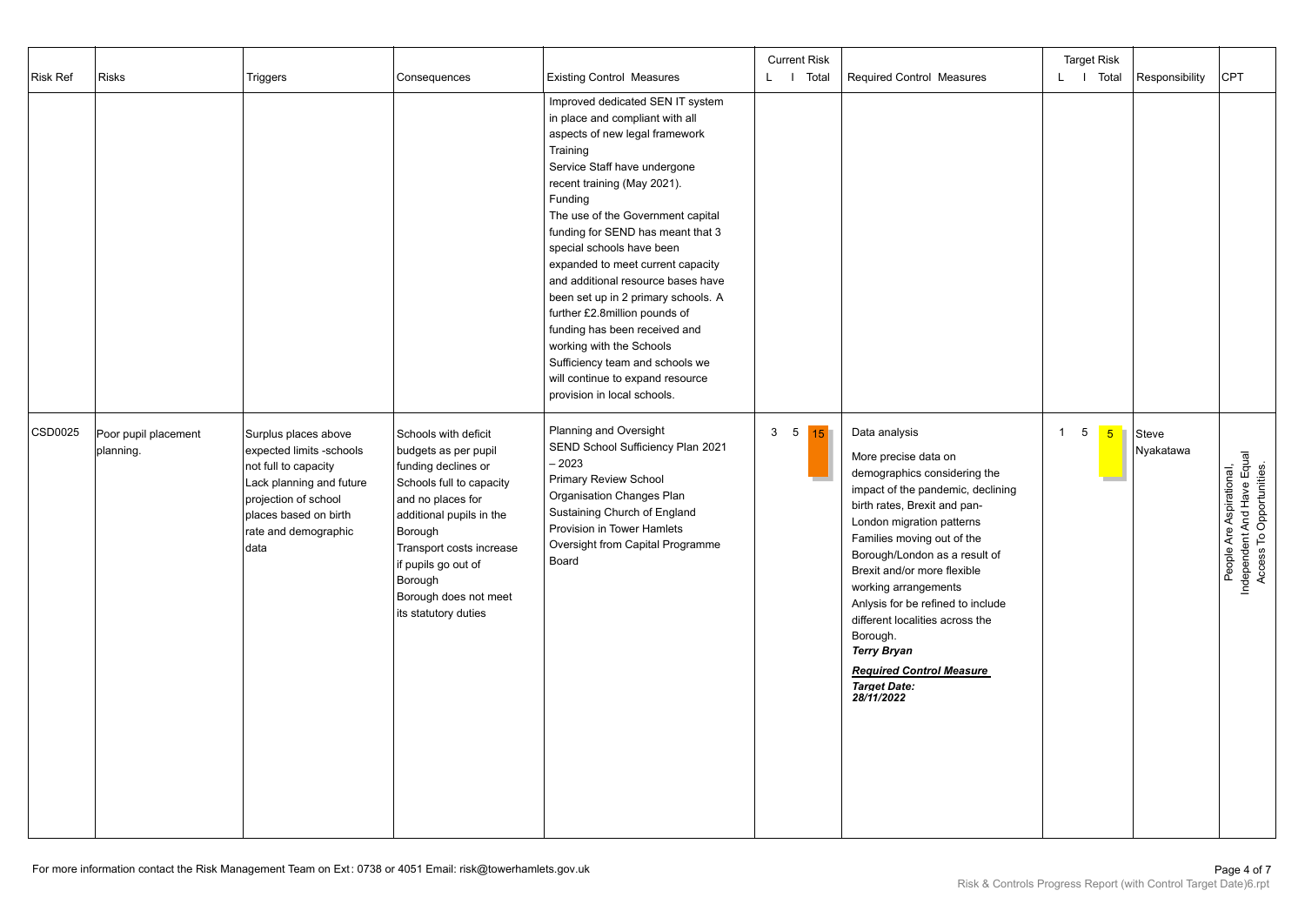| Risk Ref | <b>Risks</b>                      | Triggers                                                                                                                                                                              | Consequences                                                                                                                                                                                                                                                               | <b>Existing Control Measures</b>                                                                                                                                                                                                                                                                                                                                                                                                                                                                                                                                                                                         | <b>Current Risk</b><br>L I Total | Required Control Measures                                                                                                                                                                                                                                                                                                                                                                                                                                                       | <b>Target Risk</b><br>L I Total<br>Responsibility            | <b>CPT</b>                                                                         |
|----------|-----------------------------------|---------------------------------------------------------------------------------------------------------------------------------------------------------------------------------------|----------------------------------------------------------------------------------------------------------------------------------------------------------------------------------------------------------------------------------------------------------------------------|--------------------------------------------------------------------------------------------------------------------------------------------------------------------------------------------------------------------------------------------------------------------------------------------------------------------------------------------------------------------------------------------------------------------------------------------------------------------------------------------------------------------------------------------------------------------------------------------------------------------------|----------------------------------|---------------------------------------------------------------------------------------------------------------------------------------------------------------------------------------------------------------------------------------------------------------------------------------------------------------------------------------------------------------------------------------------------------------------------------------------------------------------------------|--------------------------------------------------------------|------------------------------------------------------------------------------------|
|          |                                   |                                                                                                                                                                                       |                                                                                                                                                                                                                                                                            | Improved dedicated SEN IT system<br>in place and compliant with all<br>aspects of new legal framework<br>Training<br>Service Staff have undergone<br>recent training (May 2021).<br>Funding<br>The use of the Government capital<br>funding for SEND has meant that 3<br>special schools have been<br>expanded to meet current capacity<br>and additional resource bases have<br>been set up in 2 primary schools. A<br>further £2.8million pounds of<br>funding has been received and<br>working with the Schools<br>Sufficiency team and schools we<br>will continue to expand resource<br>provision in local schools. |                                  |                                                                                                                                                                                                                                                                                                                                                                                                                                                                                 |                                                              |                                                                                    |
| CSD0025  | Poor pupil placement<br>planning. | Surplus places above<br>expected limits -schools<br>not full to capacity<br>Lack planning and future<br>projection of school<br>places based on birth<br>rate and demographic<br>data | Schools with deficit<br>budgets as per pupil<br>funding declines or<br>Schools full to capacity<br>and no places for<br>additional pupils in the<br>Borough<br>Transport costs increase<br>if pupils go out of<br>Borough<br>Borough does not meet<br>its statutory duties | Planning and Oversight<br>SEND School Sufficiency Plan 2021<br>$-2023$<br><b>Primary Review School</b><br>Organisation Changes Plan<br>Sustaining Church of England<br>Provision in Tower Hamlets<br>Oversight from Capital Programme<br>Board                                                                                                                                                                                                                                                                                                                                                                           | 3 <sub>5</sub><br>15             | Data analysis<br>More precise data on<br>demographics considering the<br>impact of the pandemic, declining<br>birth rates, Brexit and pan-<br>London migration patterns<br>Families moving out of the<br>Borough/London as a result of<br>Brexit and/or more flexible<br>working arrangements<br>Anlysis for be refined to include<br>different localities across the<br>Borough.<br><b>Terry Bryan</b><br><b>Required Control Measure</b><br><b>Target Date:</b><br>28/11/2022 | 5<br>$\overline{1}$<br>$5\overline{)}$<br>Steve<br>Nyakatawa | People Are Aspirational,<br>Independent And Have Equal<br>Access To Opportunities. |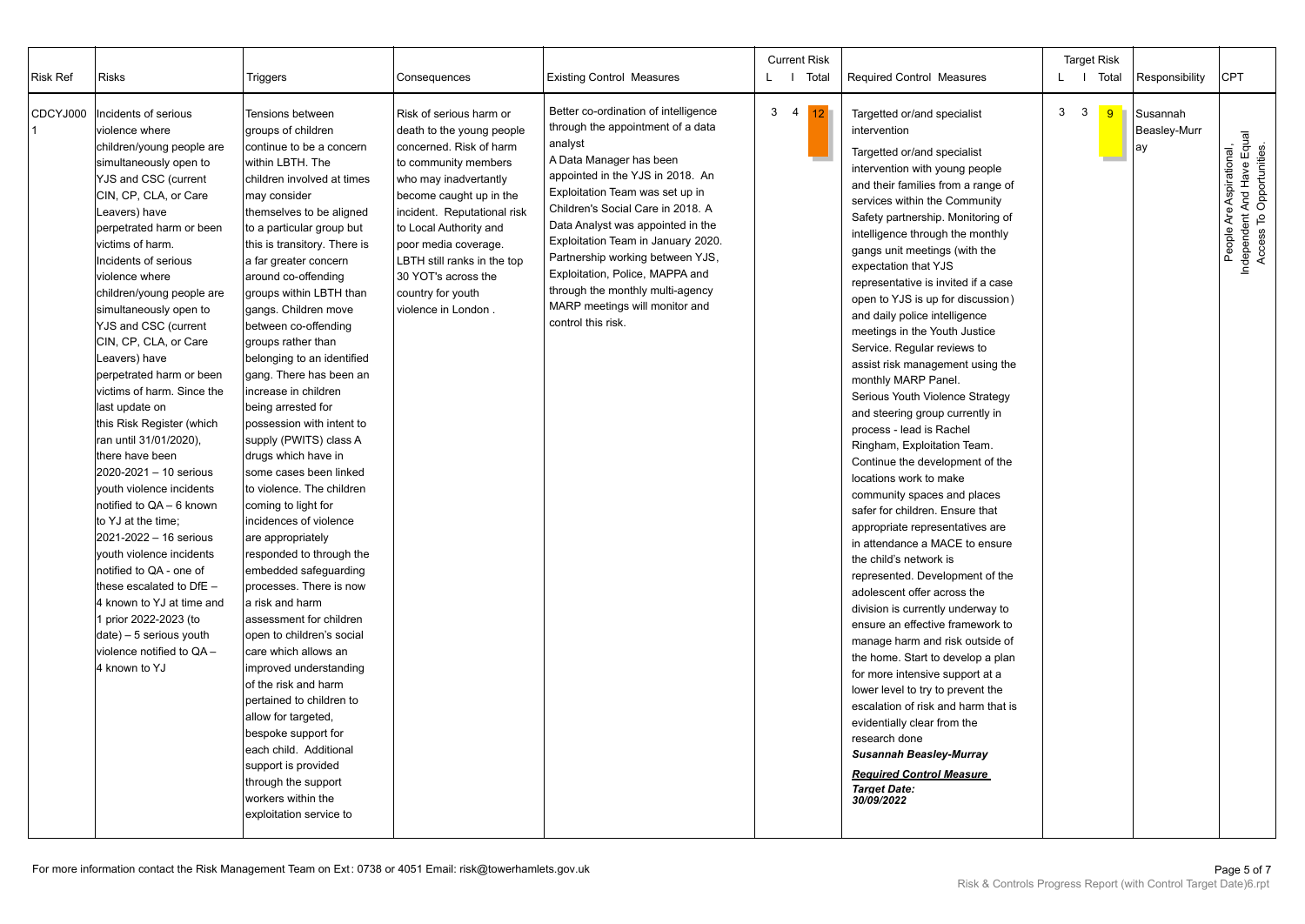| <b>Risk Ref</b> | <b>Risks</b>                                                                                                                                                                                                                                                                                                                                                                                                                                                                                                                                                                                                                                                                                                                                                                                                                                                                                  | Triggers                                                                                                                                                                                                                                                                                                                                                                                                                                                                                                                                                                                                                                                                                                                                                                                                                                                                                                                                                                                                                                                                                                                                        | Consequences                                                                                                                                                                                                                                                                                                                                   | <b>Existing Control Measures</b>                                                                                                                                                                                                                                                                                                                                                                                                                                          | <b>Current Risk</b><br>Total<br>LI. | <b>Required Control Measures</b>                                                                                                                                                                                                                                                                                                                                                                                                                                                                                                                                                                                                                                                                                                                                                                                                                                                                                                                                                                                                                                                                                                                                                                                                                                                                                                                                                                                         | <b>Target Risk</b><br>L   Total | Responsibility                 | <b>CPT</b>                                                                         |
|-----------------|-----------------------------------------------------------------------------------------------------------------------------------------------------------------------------------------------------------------------------------------------------------------------------------------------------------------------------------------------------------------------------------------------------------------------------------------------------------------------------------------------------------------------------------------------------------------------------------------------------------------------------------------------------------------------------------------------------------------------------------------------------------------------------------------------------------------------------------------------------------------------------------------------|-------------------------------------------------------------------------------------------------------------------------------------------------------------------------------------------------------------------------------------------------------------------------------------------------------------------------------------------------------------------------------------------------------------------------------------------------------------------------------------------------------------------------------------------------------------------------------------------------------------------------------------------------------------------------------------------------------------------------------------------------------------------------------------------------------------------------------------------------------------------------------------------------------------------------------------------------------------------------------------------------------------------------------------------------------------------------------------------------------------------------------------------------|------------------------------------------------------------------------------------------------------------------------------------------------------------------------------------------------------------------------------------------------------------------------------------------------------------------------------------------------|---------------------------------------------------------------------------------------------------------------------------------------------------------------------------------------------------------------------------------------------------------------------------------------------------------------------------------------------------------------------------------------------------------------------------------------------------------------------------|-------------------------------------|--------------------------------------------------------------------------------------------------------------------------------------------------------------------------------------------------------------------------------------------------------------------------------------------------------------------------------------------------------------------------------------------------------------------------------------------------------------------------------------------------------------------------------------------------------------------------------------------------------------------------------------------------------------------------------------------------------------------------------------------------------------------------------------------------------------------------------------------------------------------------------------------------------------------------------------------------------------------------------------------------------------------------------------------------------------------------------------------------------------------------------------------------------------------------------------------------------------------------------------------------------------------------------------------------------------------------------------------------------------------------------------------------------------------------|---------------------------------|--------------------------------|------------------------------------------------------------------------------------|
| CDCYJ000        | Incidents of serious<br>violence where<br>children/young people are<br>simultaneously open to<br>YJS and CSC (current<br>CIN, CP, CLA, or Care<br>Leavers) have<br>perpetrated harm or been<br>victims of harm.<br>Incidents of serious<br>violence where<br>children/young people are<br>simultaneously open to<br>YJS and CSC (current<br>CIN, CP, CLA, or Care<br>Leavers) have<br>perpetrated harm or been<br>victims of harm. Since the<br>last update on<br>this Risk Register (which<br>ran until 31/01/2020),<br>there have been<br>2020-2021 - 10 serious<br>youth violence incidents<br>notified to QA - 6 known<br>to YJ at the time;<br>2021-2022 - 16 serious<br>youth violence incidents<br>notified to QA - one of<br>these escalated to $DF -$<br>4 known to YJ at time and<br>1 prior 2022-2023 (to<br>date) - 5 serious youth<br>violence notified to QA -<br>4 known to YJ | <b>Tensions between</b><br>groups of children<br>continue to be a concern<br>within LBTH. The<br>children involved at times<br>may consider<br>themselves to be aligned<br>to a particular group but<br>this is transitory. There is<br>a far greater concern<br>around co-offending<br>groups within LBTH than<br>gangs. Children move<br>between co-offending<br>groups rather than<br>belonging to an identified<br>gang. There has been an<br>increase in children<br>being arrested for<br>possession with intent to<br>supply (PWITS) class A<br>drugs which have in<br>some cases been linked<br>to violence. The children<br>coming to light for<br>incidences of violence<br>are appropriately<br>responded to through the<br>embedded safeguarding<br>processes. There is now<br>a risk and harm<br>assessment for children<br>open to children's social<br>care which allows an<br>improved understanding<br>of the risk and harm<br>pertained to children to<br>allow for targeted,<br>bespoke support for<br>each child. Additional<br>support is provided<br>through the support<br>workers within the<br>exploitation service to | Risk of serious harm or<br>death to the young people<br>concerned. Risk of harm<br>to community members<br>who may inadvertantly<br>become caught up in the<br>incident. Reputational risk<br>to Local Authority and<br>poor media coverage.<br>LBTH still ranks in the top<br>30 YOT's across the<br>country for youth<br>violence in London. | Better co-ordination of intelligence<br>through the appointment of a data<br>analyst<br>A Data Manager has been<br>appointed in the YJS in 2018. An<br>Exploitation Team was set up in<br>Children's Social Care in 2018. A<br>Data Analyst was appointed in the<br>Exploitation Team in January 2020.<br>Partnership working between YJS,<br>Exploitation, Police, MAPPA and<br>through the monthly multi-agency<br>MARP meetings will monitor and<br>control this risk. | 3 <sub>4</sub><br>12 <sup>°</sup>   | Targetted or/and specialist<br>intervention<br>Targetted or/and specialist<br>intervention with young people<br>and their families from a range of<br>services within the Community<br>Safety partnership. Monitoring of<br>intelligence through the monthly<br>gangs unit meetings (with the<br>expectation that YJS<br>representative is invited if a case<br>open to YJS is up for discussion)<br>and daily police intelligence<br>meetings in the Youth Justice<br>Service. Regular reviews to<br>assist risk management using the<br>monthly MARP Panel.<br>Serious Youth Violence Strategy<br>and steering group currently in<br>process - lead is Rachel<br>Ringham, Exploitation Team.<br>Continue the development of the<br>locations work to make<br>community spaces and places<br>safer for children. Ensure that<br>appropriate representatives are<br>in attendance a MACE to ensure<br>the child's network is<br>represented. Development of the<br>adolescent offer across the<br>division is currently underway to<br>ensure an effective framework to<br>manage harm and risk outside of<br>the home. Start to develop a plan<br>for more intensive support at a<br>lower level to try to prevent the<br>escalation of risk and harm that is<br>evidentially clear from the<br>research done<br><b>Susannah Beasley-Murray</b><br><b>Required Control Measure</b><br><b>Target Date:</b><br>30/09/2022 | 3<br>$\mathbf{3}$<br>9          | Susannah<br>Beasley-Murr<br>ay | People Are Aspirational,<br>Independent And Have Equal<br>Access To Opportunities. |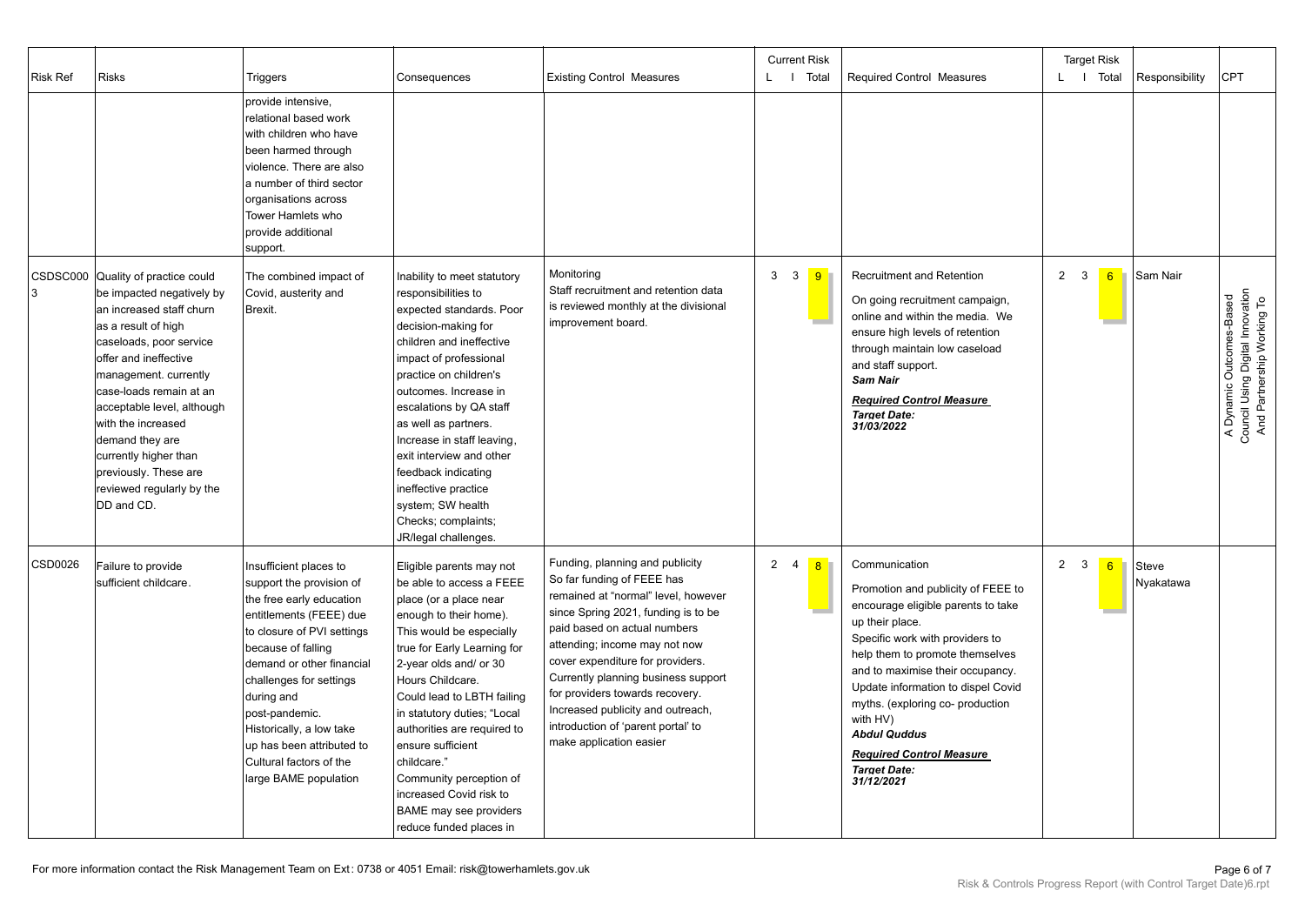| <b>Risk Ref</b> | <b>Risks</b>                                                                                                                                                                                                                                                                                                                                                                                   | Triggers                                                                                                                                                                                                                                                                                                                                                           | Consequences                                                                                                                                                                                                                                                                                                                                                                                                                                                 | <b>Existing Control Measures</b>                                                                                                                                                                                                                                                                                                                                                                                                 | <b>Current Risk</b><br>L I Total | <b>Required Control Measures</b>                                                                                                                                                                                                                                                                                                                                                                            | <b>Target Risk</b><br>L   Total     | Responsibility     | <b>CPT</b>                                                                                 |
|-----------------|------------------------------------------------------------------------------------------------------------------------------------------------------------------------------------------------------------------------------------------------------------------------------------------------------------------------------------------------------------------------------------------------|--------------------------------------------------------------------------------------------------------------------------------------------------------------------------------------------------------------------------------------------------------------------------------------------------------------------------------------------------------------------|--------------------------------------------------------------------------------------------------------------------------------------------------------------------------------------------------------------------------------------------------------------------------------------------------------------------------------------------------------------------------------------------------------------------------------------------------------------|----------------------------------------------------------------------------------------------------------------------------------------------------------------------------------------------------------------------------------------------------------------------------------------------------------------------------------------------------------------------------------------------------------------------------------|----------------------------------|-------------------------------------------------------------------------------------------------------------------------------------------------------------------------------------------------------------------------------------------------------------------------------------------------------------------------------------------------------------------------------------------------------------|-------------------------------------|--------------------|--------------------------------------------------------------------------------------------|
|                 |                                                                                                                                                                                                                                                                                                                                                                                                | provide intensive,<br>relational based work<br>with children who have<br>been harmed through<br>violence. There are also<br>a number of third sector<br>organisations across<br>Tower Hamlets who<br>provide additional<br>support.                                                                                                                                |                                                                                                                                                                                                                                                                                                                                                                                                                                                              |                                                                                                                                                                                                                                                                                                                                                                                                                                  |                                  |                                                                                                                                                                                                                                                                                                                                                                                                             |                                     |                    |                                                                                            |
| 3               | CSDSC000 Quality of practice could<br>be impacted negatively by<br>an increased staff churn<br>as a result of high<br>caseloads, poor service<br>offer and ineffective<br>management. currently<br>case-loads remain at an<br>acceptable level, although<br>with the increased<br>demand they are<br>currently higher than<br>previously. These are<br>reviewed regularly by the<br>DD and CD. | The combined impact of<br>Covid, austerity and<br>Brexit.                                                                                                                                                                                                                                                                                                          | Inability to meet statutory<br>responsibilities to<br>expected standards. Poor<br>decision-making for<br>children and ineffective<br>impact of professional<br>practice on children's<br>outcomes. Increase in<br>escalations by QA staff<br>as well as partners.<br>Increase in staff leaving,<br>exit interview and other<br>feedback indicating<br>ineffective practice<br>system; SW health<br>Checks; complaints;<br>JR/legal challenges.               | Monitoring<br>Staff recruitment and retention data<br>is reviewed monthly at the divisional<br>improvement board.                                                                                                                                                                                                                                                                                                                | 3 <sup>3</sup><br>$\overline{9}$ | <b>Recruitment and Retention</b><br>On going recruitment campaign,<br>online and within the media. We<br>ensure high levels of retention<br>through maintain low caseload<br>and staff support.<br><b>Sam Nair</b><br><b>Required Control Measure</b><br><b>Target Date:</b><br>31/03/2022                                                                                                                  | $2 \quad 3$<br>6                    | Sam Nair           | A Dynamic Outcomes-Based<br>Council Using Digital Innovation<br>And Partnership Working To |
| <b>CSD0026</b>  | Failure to provide<br>sufficient childcare.                                                                                                                                                                                                                                                                                                                                                    | Insufficient places to<br>support the provision of<br>the free early education<br>entitlements (FEEE) due<br>to closure of PVI settings<br>because of falling<br>demand or other financial<br>challenges for settings<br>during and<br>post-pandemic.<br>Historically, a low take<br>up has been attributed to<br>Cultural factors of the<br>large BAME population | Eligible parents may not<br>be able to access a FEEE<br>place (or a place near<br>enough to their home).<br>This would be especially<br>true for Early Learning for<br>2-year olds and/ or 30<br>Hours Childcare.<br>Could lead to LBTH failing<br>in statutory duties; "Local<br>authorities are required to<br>ensure sufficient<br>childcare."<br>Community perception of<br>increased Covid risk to<br>BAME may see providers<br>reduce funded places in | Funding, planning and publicity<br>So far funding of FEEE has<br>remained at "normal" level, however<br>since Spring 2021, funding is to be<br>paid based on actual numbers<br>attending; income may not now<br>cover expenditure for providers.<br>Currently planning business support<br>for providers towards recovery.<br>Increased publicity and outreach,<br>introduction of 'parent portal' to<br>make application easier | 2 <sub>1</sub><br>8              | Communication<br>Promotion and publicity of FEEE to<br>encourage eligible parents to take<br>up their place.<br>Specific work with providers to<br>help them to promote themselves<br>and to maximise their occupancy.<br>Update information to dispel Covid<br>myths. (exploring co- production<br>with HV)<br><b>Abdul Quddus</b><br><b>Required Control Measure</b><br><b>Target Date:</b><br>31/12/2021 | $\overline{2}$<br>$\mathbf{3}$<br>6 | Steve<br>Nyakatawa |                                                                                            |